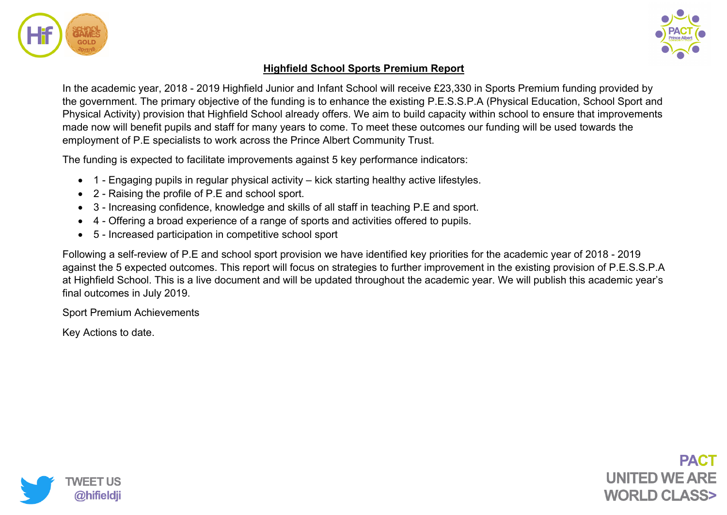



## **Highfield School Sports Premium Report**

In the academic year, 2018 - 2019 Highfield Junior and Infant School will receive £23,330 in Sports Premium funding provided by the government. The primary objective of the funding is to enhance the existing P.E.S.S.P.A (Physical Education, School Sport and Physical Activity) provision that Highfield School already offers. We aim to build capacity within school to ensure that improvements made now will benefit pupils and staff for many years to come. To meet these outcomes our funding will be used towards the employment of P.E specialists to work across the Prince Albert Community Trust.

The funding is expected to facilitate improvements against 5 key performance indicators:

- 1 Engaging pupils in regular physical activity kick starting healthy active lifestyles.
- 2 Raising the profile of P.E and school sport.
- 3 Increasing confidence, knowledge and skills of all staff in teaching P.E and sport.
- 4 Offering a broad experience of a range of sports and activities offered to pupils.
- 5 Increased participation in competitive school sport

Following a self-review of P.E and school sport provision we have identified key priorities for the academic year of 2018 - 2019 against the 5 expected outcomes. This report will focus on strategies to further improvement in the existing provision of P.E.S.S.P.A at Highfield School. This is a live document and will be updated throughout the academic year. We will publish this academic year's final outcomes in July 2019.

Sport Premium Achievements

Key Actions to date.

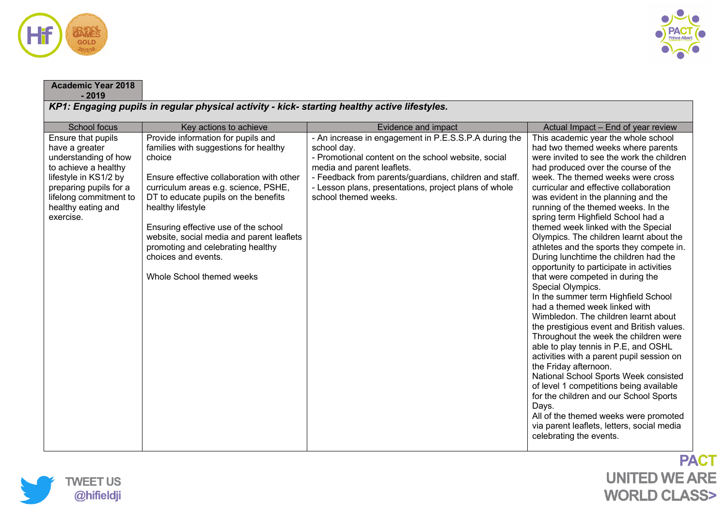

**Academic Year 2018** 



## **- 2019** *KP1: Engaging pupils in regular physical activity - kick- starting healthy active lifestyles.* School focus **Key actions to achieve Fig. 2.1 Evidence and impact Exidence and impact** Actual Impact – End of year review Ensure that pupils have a greater understanding of how to achieve a healthy lifestyle in KS1/2 by preparing pupils for a lifelong commitment to healthy eating and exercise. Provide information for pupils and families with suggestions for healthy choice Ensure effective collaboration with other curriculum areas e.g. science, PSHE, DT to educate pupils on the benefits healthy lifestyle Ensuring effective use of the school website, social media and parent leaflets promoting and celebrating healthy choices and events. Whole School themed weeks - An increase in engagement in P.E.S.S.P.A during the school day. - Promotional content on the school website, social media and parent leaflets. - Feedback from parents/guardians, children and staff. - Lesson plans, presentations, project plans of whole school themed weeks. This academic year the whole school had two themed weeks where parents were invited to see the work the children had produced over the course of the week. The themed weeks were cross curricular and effective collaboration was evident in the planning and the running of the themed weeks. In the spring term Highfield School had a themed week linked with the Special Olympics. The children learnt about the athletes and the sports they compete in. During lunchtime the children had the opportunity to participate in activities that were competed in during the Special Olympics. In the summer term Highfield School had a themed week linked with Wimbledon. The children learnt about the prestigious event and British values. Throughout the week the children were able to play tennis in P.E, and OSHL activities with a parent pupil session on the Friday afternoon. National School Sports Week consisted of level 1 competitions being available for the children and our School Sports Days. All of the themed weeks were promoted via parent leaflets, letters, social media celebrating the events.

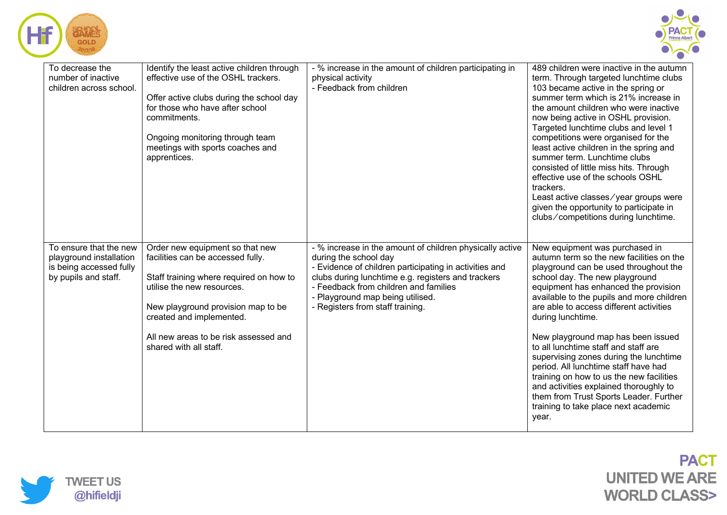



| To decrease the<br>number of inactive<br>children across school.                                     | Identify the least active children through<br>effective use of the OSHL trackers.<br>Offer active clubs during the school day<br>for those who have after school<br>commitments.<br>Ongoing monitoring through team<br>meetings with sports coaches and<br>apprentices.            | - % increase in the amount of children participating in<br>physical activity<br>- Feedback from children                                                                                                                                                                                                           | 489 children were inactive in the autumn<br>term. Through targeted lunchtime clubs<br>103 became active in the spring or<br>summer term which is 21% increase in<br>the amount children who were inactive<br>now being active in OSHL provision.<br>Targeted lunchtime clubs and level 1<br>competitions were organised for the<br>least active children in the spring and<br>summer term. Lunchtime clubs<br>consisted of little miss hits. Through<br>effective use of the schools OSHL<br>trackers.<br>Least active classes/year groups were<br>given the opportunity to participate in<br>clubs/competitions during lunchtime.                          |
|------------------------------------------------------------------------------------------------------|------------------------------------------------------------------------------------------------------------------------------------------------------------------------------------------------------------------------------------------------------------------------------------|--------------------------------------------------------------------------------------------------------------------------------------------------------------------------------------------------------------------------------------------------------------------------------------------------------------------|-------------------------------------------------------------------------------------------------------------------------------------------------------------------------------------------------------------------------------------------------------------------------------------------------------------------------------------------------------------------------------------------------------------------------------------------------------------------------------------------------------------------------------------------------------------------------------------------------------------------------------------------------------------|
| To ensure that the new<br>playground installation<br>is being accessed fully<br>by pupils and staff. | Order new equipment so that new<br>facilities can be accessed fully.<br>Staff training where required on how to<br>utilise the new resources.<br>New playground provision map to be<br>created and implemented.<br>All new areas to be risk assessed and<br>shared with all staff. | - % increase in the amount of children physically active<br>during the school day<br>- Evidence of children participating in activities and<br>clubs during lunchtime e.g. registers and trackers<br>- Feedback from children and families<br>- Playground map being utilised.<br>- Registers from staff training. | New equipment was purchased in<br>autumn term so the new facilities on the<br>playground can be used throughout the<br>school day. The new playground<br>equipment has enhanced the provision<br>available to the pupils and more children<br>are able to access different activities<br>during lunchtime.<br>New playground map has been issued<br>to all lunchtime staff and staff are<br>supervising zones during the lunchtime<br>period. All lunchtime staff have had<br>training on how to us the new facilities<br>and activities explained thoroughly to<br>them from Trust Sports Leader. Further<br>training to take place next academic<br>year. |

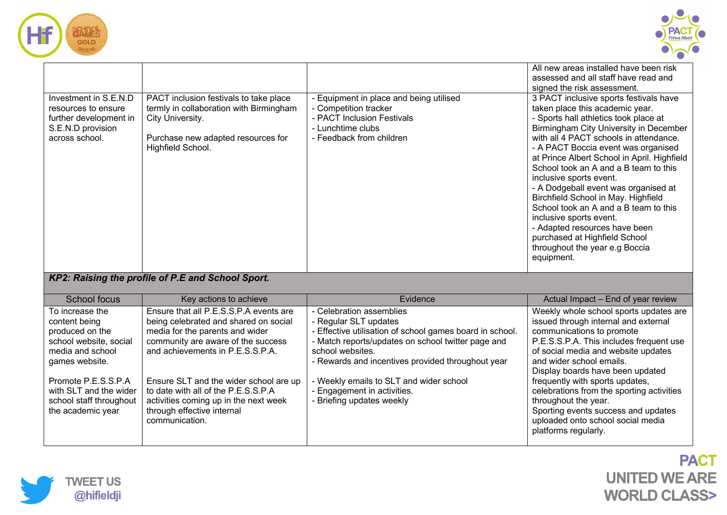



| Investment in S.E.N.D<br>resources to ensure<br>further development in<br>S.E.N.D provision<br>across school. | PACT inclusion festivals to take place<br>termly in collaboration with Birmingham<br>City University.<br>Purchase new adapted resources for<br>Highfield School. | - Equipment in place and being utilised<br>- Competition tracker<br>- PACT Inclusion Festivals<br>- Lunchtime clubs<br>- Feedback from children | All new areas installed have been risk<br>assessed and all staff have read and<br>signed the risk assessment.<br>3 PACT inclusive sports festivals have<br>taken place this academic year.<br>- Sports hall athletics took place at<br>Birmingham City University in December<br>with all 4 PACT schools in attendance.<br>- A PACT Boccia event was organised<br>at Prince Albert School in April. Highfield<br>School took an A and a B team to this<br>inclusive sports event.<br>- A Dodgeball event was organised at<br>Birchfield School in May. Highfield<br>School took an A and a B team to this<br>inclusive sports event.<br>- Adapted resources have been<br>purchased at Highfield School<br>throughout the year e.g Boccia<br>equipment. |
|---------------------------------------------------------------------------------------------------------------|------------------------------------------------------------------------------------------------------------------------------------------------------------------|-------------------------------------------------------------------------------------------------------------------------------------------------|--------------------------------------------------------------------------------------------------------------------------------------------------------------------------------------------------------------------------------------------------------------------------------------------------------------------------------------------------------------------------------------------------------------------------------------------------------------------------------------------------------------------------------------------------------------------------------------------------------------------------------------------------------------------------------------------------------------------------------------------------------|
|                                                                                                               | KP2: Raising the profile of P.E and School Sport.                                                                                                                |                                                                                                                                                 |                                                                                                                                                                                                                                                                                                                                                                                                                                                                                                                                                                                                                                                                                                                                                        |
| School focus                                                                                                  | Key actions to achieve                                                                                                                                           | Evidence                                                                                                                                        | Actual Impact - End of year review                                                                                                                                                                                                                                                                                                                                                                                                                                                                                                                                                                                                                                                                                                                     |
| To increase the<br>content being<br>produced on the                                                           | Ensure that all P.E.S.S.P.A events are<br>being celebrated and shared on social<br>media for the parents and wider                                               | - Celebration assemblies<br>- Regular SLT updates<br>- Effective utilisation of school games board in school.                                   | Weekly whole school sports updates are<br>issued through internal and external<br>communications to promote                                                                                                                                                                                                                                                                                                                                                                                                                                                                                                                                                                                                                                            |

| School focus            | Key actions to achieve                 | Evidence                                                 | Actual Impact - End of year review        |
|-------------------------|----------------------------------------|----------------------------------------------------------|-------------------------------------------|
| To increase the         | Ensure that all P.E.S.S.P.A events are | - Celebration assemblies                                 | Weekly whole school sports updates are    |
| content being           | being celebrated and shared on social  | - Regular SLT updates                                    | issued through internal and external      |
| produced on the         | media for the parents and wider        | - Effective utilisation of school games board in school. | communications to promote                 |
| school website, social  | community are aware of the success     | - Match reports/updates on school twitter page and       | P.E.S.S.P.A. This includes frequent use   |
| media and school        | and achievements in P.E.S.S.P.A.       | school websites.                                         | of social media and website updates       |
| games website.          |                                        | - Rewards and incentives provided throughout year        | and wider school emails.                  |
|                         |                                        |                                                          | Display boards have been updated          |
| Promote P.E.S.S.P.A     | Ensure SLT and the wider school are up | - Weekly emails to SLT and wider school                  | frequently with sports updates,           |
| with SLT and the wider  | to date with all of the P.E.S.S.P.A    | - Engagement in activities.                              | celebrations from the sporting activities |
| school staff throughout | activities coming up in the next week  | - Briefing updates weekly                                | throughout the year.                      |
| the academic year       | through effective internal             |                                                          | Sporting events success and updates       |
|                         | communication.                         |                                                          | uploaded onto school social media         |
|                         |                                        |                                                          | platforms regularly.                      |
|                         |                                        |                                                          |                                           |

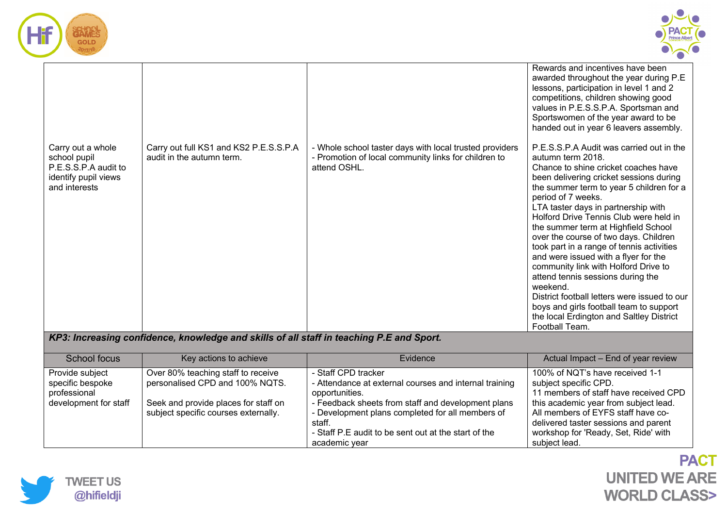



|                                                                                                    |                                                                     |                                                                                                                                 | Rewards and incentives have been<br>awarded throughout the year during P.E<br>lessons, participation in level 1 and 2<br>competitions, children showing good<br>values in P.E.S.S.P.A. Sportsman and<br>Sportswomen of the year award to be<br>handed out in year 6 leavers assembly.                                                                                                                                                                                                                                                                                                                                                                                                                                      |
|----------------------------------------------------------------------------------------------------|---------------------------------------------------------------------|---------------------------------------------------------------------------------------------------------------------------------|----------------------------------------------------------------------------------------------------------------------------------------------------------------------------------------------------------------------------------------------------------------------------------------------------------------------------------------------------------------------------------------------------------------------------------------------------------------------------------------------------------------------------------------------------------------------------------------------------------------------------------------------------------------------------------------------------------------------------|
| Carry out a whole<br>school pupil<br>P.E.S.S.P.A audit to<br>identify pupil views<br>and interests | Carry out full KS1 and KS2 P.E.S.S.P.A<br>audit in the autumn term. | - Whole school taster days with local trusted providers<br>- Promotion of local community links for children to<br>attend OSHL. | P.E.S.S.P.A Audit was carried out in the<br>autumn term 2018.<br>Chance to shine cricket coaches have<br>been delivering cricket sessions during<br>the summer term to year 5 children for a<br>period of 7 weeks.<br>LTA taster days in partnership with<br>Holford Drive Tennis Club were held in<br>the summer term at Highfield School<br>over the course of two days. Children<br>took part in a range of tennis activities<br>and were issued with a flyer for the<br>community link with Holford Drive to<br>attend tennis sessions during the<br>weekend.<br>District football letters were issued to our<br>boys and girls football team to support<br>the local Erdington and Saltley District<br>Football Team. |
| KP3: Increasing confidence, knowledge and skills of all staff in teaching P.E and Sport.           |                                                                     |                                                                                                                                 |                                                                                                                                                                                                                                                                                                                                                                                                                                                                                                                                                                                                                                                                                                                            |

| School focus                                        | Key actions to achieve                                                       | Evidence                                                                                                                                                                                  | Actual Impact - End of year review                                                                                                                                           |
|-----------------------------------------------------|------------------------------------------------------------------------------|-------------------------------------------------------------------------------------------------------------------------------------------------------------------------------------------|------------------------------------------------------------------------------------------------------------------------------------------------------------------------------|
| Provide subject<br>specific bespoke<br>professional | Over 80% teaching staff to receive<br>personalised CPD and 100% NQTS.        | - Staff CPD tracker<br>- Attendance at external courses and internal training<br>opportunities.                                                                                           | 100% of NQT's have received 1-1<br>subject specific CPD.<br>11 members of staff have received CPD                                                                            |
| development for staff                               | Seek and provide places for staff on<br>subject specific courses externally. | - Feedback sheets from staff and development plans<br>- Development plans completed for all members of<br>staff.<br>- Staff P.E audit to be sent out at the start of the<br>academic year | this academic year from subject lead.<br>All members of EYFS staff have co-<br>delivered taster sessions and parent<br>workshop for 'Ready, Set, Ride' with<br>subject lead. |

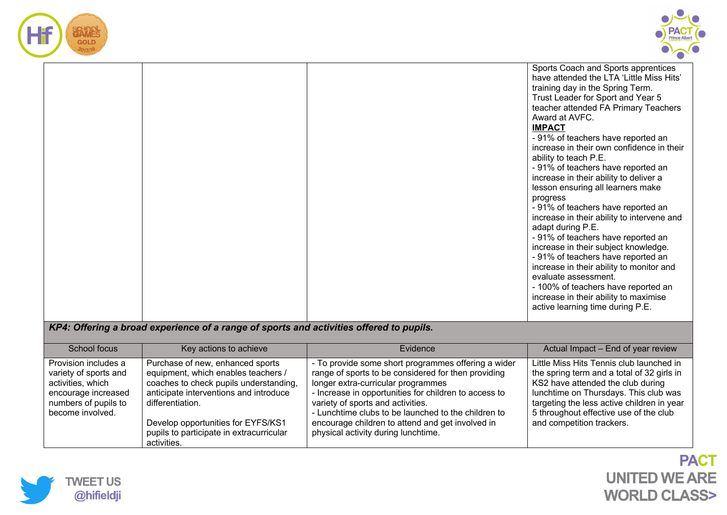



|  |  | Sports Coach and Sports apprentices<br>have attended the LTA 'Little Miss Hits'<br>training day in the Spring Term.<br>Trust Leader for Sport and Year 5<br>teacher attended FA Primary Teachers<br>Award at AVFC.<br><b>IMPACT</b><br>- 91% of teachers have reported an<br>increase in their own confidence in their<br>ability to teach P.E.<br>- 91% of teachers have reported an<br>increase in their ability to deliver a<br>lesson ensuring all learners make<br>progress<br>- 91% of teachers have reported an<br>increase in their ability to intervene and<br>adapt during P.E.<br>- 91% of teachers have reported an<br>increase in their subject knowledge.<br>- 91% of teachers have reported an<br>increase in their ability to monitor and<br>evaluate assessment.<br>- 100% of teachers have reported an<br>increase in their ability to maximise<br>active learning time during P.E. |
|--|--|-------------------------------------------------------------------------------------------------------------------------------------------------------------------------------------------------------------------------------------------------------------------------------------------------------------------------------------------------------------------------------------------------------------------------------------------------------------------------------------------------------------------------------------------------------------------------------------------------------------------------------------------------------------------------------------------------------------------------------------------------------------------------------------------------------------------------------------------------------------------------------------------------------|
|--|--|-------------------------------------------------------------------------------------------------------------------------------------------------------------------------------------------------------------------------------------------------------------------------------------------------------------------------------------------------------------------------------------------------------------------------------------------------------------------------------------------------------------------------------------------------------------------------------------------------------------------------------------------------------------------------------------------------------------------------------------------------------------------------------------------------------------------------------------------------------------------------------------------------------|

## *KP4: Offering a broad experience of a range of sports and activities offered to pupils.*

| School focus                                                                                                                          | Key actions to achieve                                                                                                                                                                                                                                                           | Evidence                                                                                                                                                                                                                                                                                                                                                                                         | Actual Impact - End of year review                                                                                                                                                                                                                                                        |
|---------------------------------------------------------------------------------------------------------------------------------------|----------------------------------------------------------------------------------------------------------------------------------------------------------------------------------------------------------------------------------------------------------------------------------|--------------------------------------------------------------------------------------------------------------------------------------------------------------------------------------------------------------------------------------------------------------------------------------------------------------------------------------------------------------------------------------------------|-------------------------------------------------------------------------------------------------------------------------------------------------------------------------------------------------------------------------------------------------------------------------------------------|
| Provision includes a<br>variety of sports and<br>activities, which<br>encourage increased<br>numbers of pupils to<br>become involved. | Purchase of new, enhanced sports<br>equipment, which enables teachers /<br>coaches to check pupils understanding,<br>anticipate interventions and introduce<br>differentiation.<br>Develop opportunities for EYFS/KS1<br>pupils to participate in extracurricular<br>activities. | - To provide some short programmes offering a wider<br>range of sports to be considered for then providing<br>longer extra-curricular programmes<br>- Increase in opportunities for children to access to<br>variety of sports and activities.<br>- Lunchtime clubs to be launched to the children to<br>encourage children to attend and get involved in<br>physical activity during lunchtime. | Little Miss Hits Tennis club launched in<br>the spring term and a total of 32 girls in<br>KS2 have attended the club during<br>lunchtime on Thursdays. This club was<br>targeting the less active children in year<br>5 throughout effective use of the club<br>and competition trackers. |

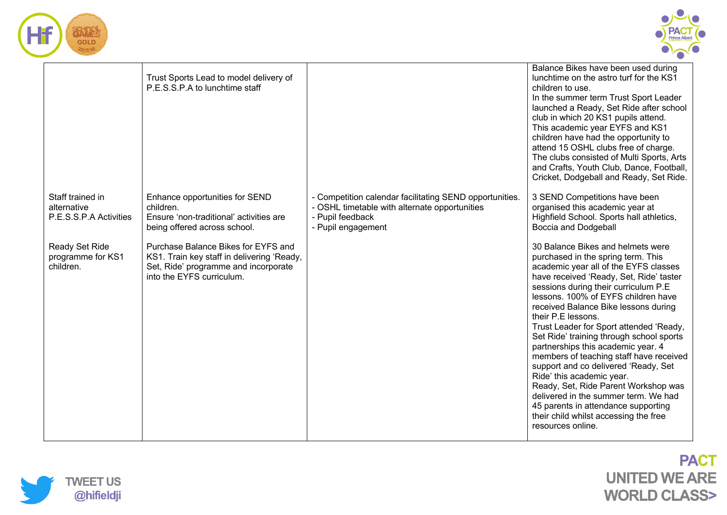



|                                                           | Trust Sports Lead to model delivery of<br>P.E.S.S.P.A to lunchtime staff                                                                               |                                                                                                                                                    | Balance Bikes have been used during<br>lunchtime on the astro turf for the KS1<br>children to use.<br>In the summer term Trust Sport Leader<br>launched a Ready, Set Ride after school<br>club in which 20 KS1 pupils attend.<br>This academic year EYFS and KS1<br>children have had the opportunity to<br>attend 15 OSHL clubs free of charge.<br>The clubs consisted of Multi Sports, Arts<br>and Crafts, Youth Club, Dance, Football,<br>Cricket, Dodgeball and Ready, Set Ride.                                                                                                                                                                                                                                                        |
|-----------------------------------------------------------|--------------------------------------------------------------------------------------------------------------------------------------------------------|----------------------------------------------------------------------------------------------------------------------------------------------------|---------------------------------------------------------------------------------------------------------------------------------------------------------------------------------------------------------------------------------------------------------------------------------------------------------------------------------------------------------------------------------------------------------------------------------------------------------------------------------------------------------------------------------------------------------------------------------------------------------------------------------------------------------------------------------------------------------------------------------------------|
| Staff trained in<br>alternative<br>P.E.S.S.P.A Activities | Enhance opportunities for SEND<br>children.<br>Ensure 'non-traditional' activities are<br>being offered across school.                                 | - Competition calendar facilitating SEND opportunities.<br>- OSHL timetable with alternate opportunities<br>- Pupil feedback<br>- Pupil engagement | 3 SEND Competitions have been<br>organised this academic year at<br>Highfield School. Sports hall athletics,<br><b>Boccia and Dodgeball</b>                                                                                                                                                                                                                                                                                                                                                                                                                                                                                                                                                                                                 |
| Ready Set Ride<br>programme for KS1<br>children.          | Purchase Balance Bikes for EYFS and<br>KS1. Train key staff in delivering 'Ready,<br>Set, Ride' programme and incorporate<br>into the EYFS curriculum. |                                                                                                                                                    | 30 Balance Bikes and helmets were<br>purchased in the spring term. This<br>academic year all of the EYFS classes<br>have received 'Ready, Set, Ride' taster<br>sessions during their curriculum P.E.<br>lessons, 100% of EYFS children have<br>received Balance Bike lessons during<br>their P.E lessons.<br>Trust Leader for Sport attended 'Ready,<br>Set Ride' training through school sports<br>partnerships this academic year. 4<br>members of teaching staff have received<br>support and co delivered 'Ready, Set<br>Ride' this academic year.<br>Ready, Set, Ride Parent Workshop was<br>delivered in the summer term. We had<br>45 parents in attendance supporting<br>their child whilst accessing the free<br>resources online. |

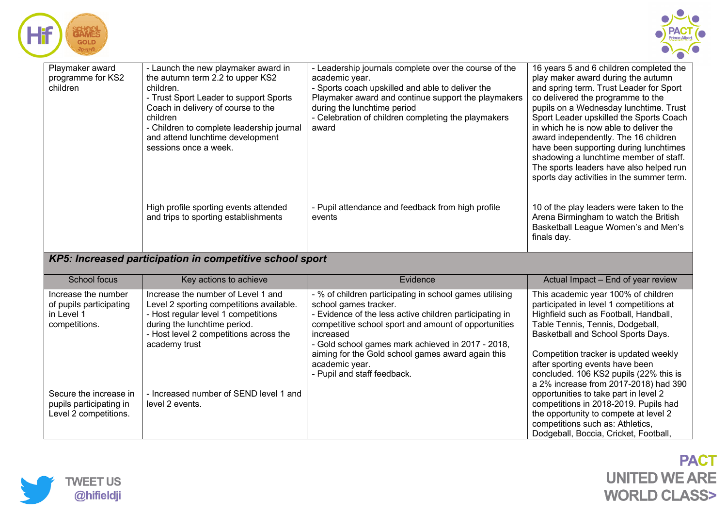| <b>BAMES</b><br><b>GOLD</b>                      |                                                                                                                                                                                                                                                                                            |                                                                                                                                                                                                                                                                                   |                                                                                                                                                                                                                                                                                                                                                                                                                                                                                                                  |
|--------------------------------------------------|--------------------------------------------------------------------------------------------------------------------------------------------------------------------------------------------------------------------------------------------------------------------------------------------|-----------------------------------------------------------------------------------------------------------------------------------------------------------------------------------------------------------------------------------------------------------------------------------|------------------------------------------------------------------------------------------------------------------------------------------------------------------------------------------------------------------------------------------------------------------------------------------------------------------------------------------------------------------------------------------------------------------------------------------------------------------------------------------------------------------|
| Playmaker award<br>programme for KS2<br>children | - Launch the new playmaker award in<br>the autumn term 2.2 to upper KS2<br>children.<br>- Trust Sport Leader to support Sports<br>Coach in delivery of course to the<br>children<br>- Children to complete leadership journal<br>and attend lunchtime development<br>sessions once a week. | - Leadership journals complete over the course of the<br>academic year.<br>- Sports coach upskilled and able to deliver the<br>Playmaker award and continue support the playmakers<br>during the lunchtime period<br>- Celebration of children completing the playmakers<br>award | 16 years 5 and 6 children completed the<br>play maker award during the autumn<br>and spring term. Trust Leader for Sport<br>co delivered the programme to the<br>pupils on a Wednesday lunchtime. Trust<br>Sport Leader upskilled the Sports Coach<br>in which he is now able to deliver the<br>award independently. The 16 children<br>have been supporting during lunchtimes<br>shadowing a lunchtime member of staff.<br>The sports leaders have also helped run<br>sports day activities in the summer term. |
|                                                  | High profile sporting events attended<br>and trips to sporting establishments                                                                                                                                                                                                              | - Pupil attendance and feedback from high profile<br>events                                                                                                                                                                                                                       | 10 of the play leaders were taken to the<br>Arena Birmingham to watch the British<br>Basketball League Women's and Men's<br>finals day.                                                                                                                                                                                                                                                                                                                                                                          |

## *KP5: Increased participation in competitive school sport*

| School focus                                                                  | Key actions to achieve                                                                                                                                                                                           | Evidence                                                                                                                                                                                                                                                                                                                   | Actual Impact - End of year review                                                                                                                                                                                                                                                                                         |
|-------------------------------------------------------------------------------|------------------------------------------------------------------------------------------------------------------------------------------------------------------------------------------------------------------|----------------------------------------------------------------------------------------------------------------------------------------------------------------------------------------------------------------------------------------------------------------------------------------------------------------------------|----------------------------------------------------------------------------------------------------------------------------------------------------------------------------------------------------------------------------------------------------------------------------------------------------------------------------|
| Increase the number<br>of pupils participating<br>in Level 1<br>competitions. | Increase the number of Level 1 and<br>Level 2 sporting competitions available.<br>- Host regular level 1 competitions<br>during the lunchtime period.<br>- Host level 2 competitions across the<br>academy trust | - % of children participating in school games utilising<br>school games tracker.<br>- Evidence of the less active children participating in<br>competitive school sport and amount of opportunities<br>increased<br>- Gold school games mark achieved in 2017 - 2018,<br>aiming for the Gold school games award again this | This academic year 100% of children<br>participated in level 1 competitions at<br>Highfield such as Football, Handball,<br>Table Tennis, Tennis, Dodgeball,<br>Basketball and School Sports Days.<br>Competition tracker is updated weekly                                                                                 |
| Secure the increase in<br>pupils participating in<br>Level 2 competitions.    | - Increased number of SEND level 1 and<br>level 2 events.                                                                                                                                                        | academic year.<br>- Pupil and staff feedback.                                                                                                                                                                                                                                                                              | after sporting events have been<br>concluded. 106 KS2 pupils (22% this is<br>a 2% increase from 2017-2018) had 390<br>opportunities to take part in level 2<br>competitions in 2018-2019. Pupils had<br>the opportunity to compete at level 2<br>competitions such as: Athletics,<br>Dodgeball, Boccia, Cricket, Football, |

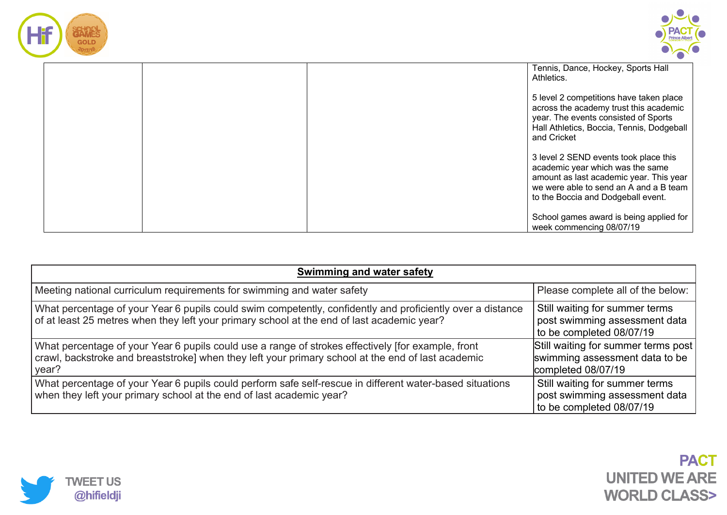



|  | Tennis, Dance, Hockey, Sports Hall<br>Athletics.                                                                                                                                                     |
|--|------------------------------------------------------------------------------------------------------------------------------------------------------------------------------------------------------|
|  | 5 level 2 competitions have taken place<br>across the academy trust this academic<br>year. The events consisted of Sports<br>Hall Athletics, Boccia, Tennis, Dodgeball<br>and Cricket                |
|  | 3 level 2 SEND events took place this<br>academic year which was the same<br>amount as last academic year. This year<br>we were able to send an A and a B team<br>to the Boccia and Dodgeball event. |
|  | School games award is being applied for<br>week commencing 08/07/19                                                                                                                                  |

| Swimming and water safety                                                                                                                                                                                         |                                                                                             |  |  |
|-------------------------------------------------------------------------------------------------------------------------------------------------------------------------------------------------------------------|---------------------------------------------------------------------------------------------|--|--|
| Meeting national curriculum requirements for swimming and water safety                                                                                                                                            | Please complete all of the below:                                                           |  |  |
| What percentage of your Year 6 pupils could swim competently, confidently and proficiently over a distance<br>of at least 25 metres when they left your primary school at the end of last academic year?          | Still waiting for summer terms<br>post swimming assessment data<br>to be completed 08/07/19 |  |  |
| What percentage of your Year 6 pupils could use a range of strokes effectively [for example, front<br>crawl, backstroke and breaststroke] when they left your primary school at the end of last academic<br>year? | Still waiting for summer terms post<br>swimming assessment data to be<br>completed 08/07/19 |  |  |
| What percentage of your Year 6 pupils could perform safe self-rescue in different water-based situations<br>when they left your primary school at the end of last academic year?                                  | Still waiting for summer terms<br>post swimming assessment data<br>to be completed 08/07/19 |  |  |